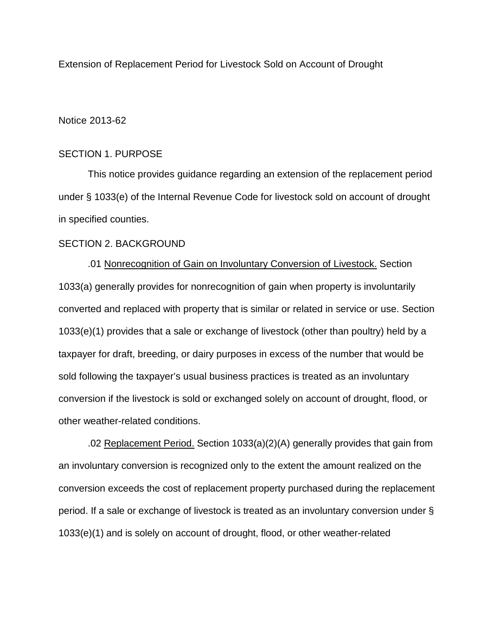Extension of Replacement Period for Livestock Sold on Account of Drought

#### Notice 2013-62

#### SECTION 1. PURPOSE

This notice provides guidance regarding an extension of the replacement period under § 1033(e) of the Internal Revenue Code for livestock sold on account of drought in specified counties.

#### SECTION 2. BACKGROUND

.01 Nonrecognition of Gain on Involuntary Conversion of Livestock. Section 1033(a) generally provides for nonrecognition of gain when property is involuntarily converted and replaced with property that is similar or related in service or use. Section 1033(e)(1) provides that a sale or exchange of livestock (other than poultry) held by a taxpayer for draft, breeding, or dairy purposes in excess of the number that would be sold following the taxpayer's usual business practices is treated as an involuntary conversion if the livestock is sold or exchanged solely on account of drought, flood, or other weather-related conditions.

.02 Replacement Period. Section 1033(a)(2)(A) generally provides that gain from an involuntary conversion is recognized only to the extent the amount realized on the conversion exceeds the cost of replacement property purchased during the replacement period. If a sale or exchange of livestock is treated as an involuntary conversion under § 1033(e)(1) and is solely on account of drought, flood, or other weather-related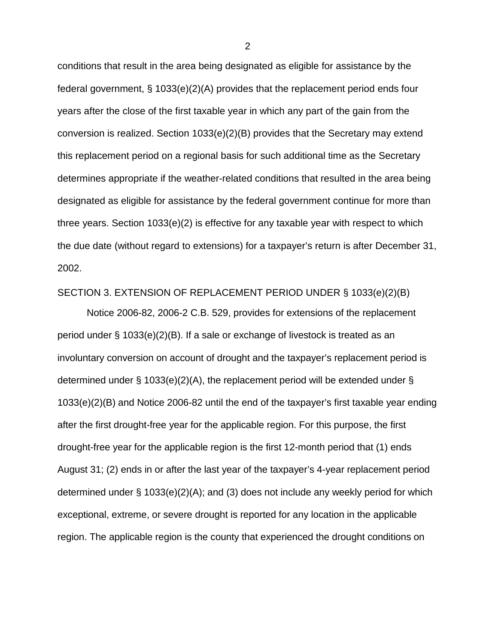conditions that result in the area being designated as eligible for assistance by the federal government, § 1033(e)(2)(A) provides that the replacement period ends four years after the close of the first taxable year in which any part of the gain from the conversion is realized. Section 1033(e)(2)(B) provides that the Secretary may extend this replacement period on a regional basis for such additional time as the Secretary determines appropriate if the weather-related conditions that resulted in the area being designated as eligible for assistance by the federal government continue for more than three years. Section 1033(e)(2) is effective for any taxable year with respect to which the due date (without regard to extensions) for a taxpayer's return is after December 31, 2002.

#### SECTION 3. EXTENSION OF REPLACEMENT PERIOD UNDER § 1033(e)(2)(B)

Notice 2006-82, 2006-2 C.B. 529, provides for extensions of the replacement period under § 1033(e)(2)(B). If a sale or exchange of livestock is treated as an involuntary conversion on account of drought and the taxpayer's replacement period is determined under § 1033(e)(2)(A), the replacement period will be extended under § 1033(e)(2)(B) and Notice 2006-82 until the end of the taxpayer's first taxable year ending after the first drought-free year for the applicable region. For this purpose, the first drought-free year for the applicable region is the first 12-month period that (1) ends August 31; (2) ends in or after the last year of the taxpayer's 4-year replacement period determined under § 1033(e)(2)(A); and (3) does not include any weekly period for which exceptional, extreme, or severe drought is reported for any location in the applicable region. The applicable region is the county that experienced the drought conditions on

2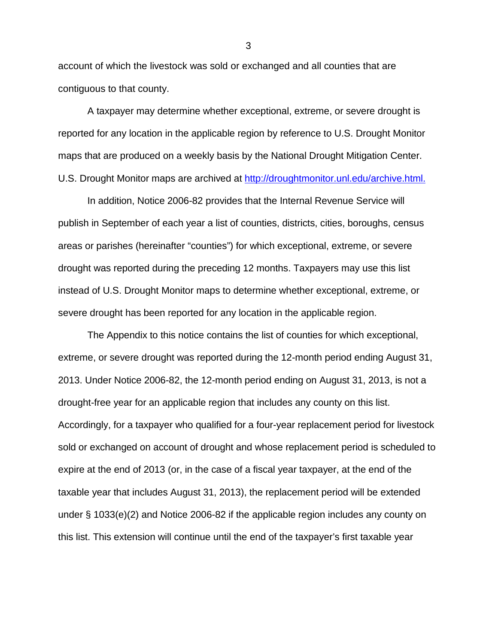account of which the livestock was sold or exchanged and all counties that are contiguous to that county.

A taxpayer may determine whether exceptional, extreme, or severe drought is reported for any location in the applicable region by reference to U.S. Drought Monitor maps that are produced on a weekly basis by the National Drought Mitigation Center. U.S. Drought Monitor maps are archived at http://droughtmonitor.unl.edu/archive.html.

In addition, Notice 2006-82 provides that the Internal Revenue Service will publish in September of each year a list of counties, districts, cities, boroughs, census areas or parishes (hereinafter "counties") for which exceptional, extreme, or severe drought was reported during the preceding 12 months. Taxpayers may use this list instead of U.S. Drought Monitor maps to determine whether exceptional, extreme, or severe drought has been reported for any location in the applicable region.

The Appendix to this notice contains the list of counties for which exceptional, extreme, or severe drought was reported during the 12-month period ending August 31, 2013. Under Notice 2006-82, the 12-month period ending on August 31, 2013, is not a drought-free year for an applicable region that includes any county on this list. Accordingly, for a taxpayer who qualified for a four-year replacement period for livestock sold or exchanged on account of drought and whose replacement period is scheduled to expire at the end of 2013 (or, in the case of a fiscal year taxpayer, at the end of the taxable year that includes August 31, 2013), the replacement period will be extended under § 1033(e)(2) and Notice 2006-82 if the applicable region includes any county on this list. This extension will continue until the end of the taxpayer's first taxable year

3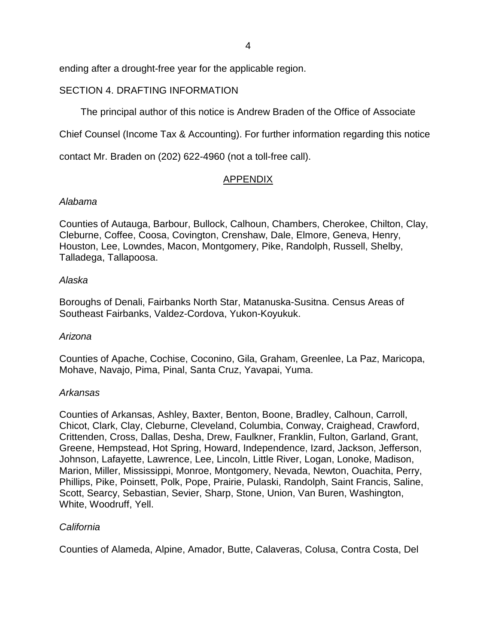4

ending after a drought-free year for the applicable region.

# SECTION 4. DRAFTING INFORMATION

The principal author of this notice is Andrew Braden of the Office of Associate

Chief Counsel (Income Tax & Accounting). For further information regarding this notice

contact Mr. Braden on (202) 622-4960 (not a toll-free call).

# APPENDIX

## Alabama

Counties of Autauga, Barbour, Bullock, Calhoun, Chambers, Cherokee, Chilton, Clay, Cleburne, Coffee, Coosa, Covington, Crenshaw, Dale, Elmore, Geneva, Henry, Houston, Lee, Lowndes, Macon, Montgomery, Pike, Randolph, Russell, Shelby, Talladega, Tallapoosa.

## Alaska

Boroughs of Denali, Fairbanks North Star, Matanuska-Susitna. Census Areas of Southeast Fairbanks, Valdez-Cordova, Yukon-Koyukuk.

# Arizona

Counties of Apache, Cochise, Coconino, Gila, Graham, Greenlee, La Paz, Maricopa, Mohave, Navajo, Pima, Pinal, Santa Cruz, Yavapai, Yuma.

# Arkansas

Counties of Arkansas, Ashley, Baxter, Benton, Boone, Bradley, Calhoun, Carroll, Chicot, Clark, Clay, Cleburne, Cleveland, Columbia, Conway, Craighead, Crawford, Crittenden, Cross, Dallas, Desha, Drew, Faulkner, Franklin, Fulton, Garland, Grant, Greene, Hempstead, Hot Spring, Howard, Independence, Izard, Jackson, Jefferson, Johnson, Lafayette, Lawrence, Lee, Lincoln, Little River, Logan, Lonoke, Madison, Marion, Miller, Mississippi, Monroe, Montgomery, Nevada, Newton, Ouachita, Perry, Phillips, Pike, Poinsett, Polk, Pope, Prairie, Pulaski, Randolph, Saint Francis, Saline, Scott, Searcy, Sebastian, Sevier, Sharp, Stone, Union, Van Buren, Washington, White, Woodruff, Yell.

# **California**

Counties of Alameda, Alpine, Amador, Butte, Calaveras, Colusa, Contra Costa, Del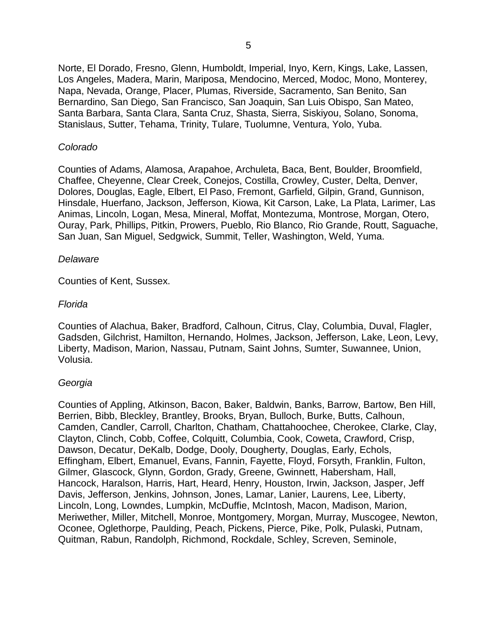Norte, El Dorado, Fresno, Glenn, Humboldt, Imperial, Inyo, Kern, Kings, Lake, Lassen, Los Angeles, Madera, Marin, Mariposa, Mendocino, Merced, Modoc, Mono, Monterey, Napa, Nevada, Orange, Placer, Plumas, Riverside, Sacramento, San Benito, San Bernardino, San Diego, San Francisco, San Joaquin, San Luis Obispo, San Mateo, Santa Barbara, Santa Clara, Santa Cruz, Shasta, Sierra, Siskiyou, Solano, Sonoma, Stanislaus, Sutter, Tehama, Trinity, Tulare, Tuolumne, Ventura, Yolo, Yuba.

## Colorado

Counties of Adams, Alamosa, Arapahoe, Archuleta, Baca, Bent, Boulder, Broomfield, Chaffee, Cheyenne, Clear Creek, Conejos, Costilla, Crowley, Custer, Delta, Denver, Dolores, Douglas, Eagle, Elbert, El Paso, Fremont, Garfield, Gilpin, Grand, Gunnison, Hinsdale, Huerfano, Jackson, Jefferson, Kiowa, Kit Carson, Lake, La Plata, Larimer, Las Animas, Lincoln, Logan, Mesa, Mineral, Moffat, Montezuma, Montrose, Morgan, Otero, Ouray, Park, Phillips, Pitkin, Prowers, Pueblo, Rio Blanco, Rio Grande, Routt, Saguache, San Juan, San Miguel, Sedgwick, Summit, Teller, Washington, Weld, Yuma.

#### **Delaware**

Counties of Kent, Sussex.

#### Florida

Counties of Alachua, Baker, Bradford, Calhoun, Citrus, Clay, Columbia, Duval, Flagler, Gadsden, Gilchrist, Hamilton, Hernando, Holmes, Jackson, Jefferson, Lake, Leon, Levy, Liberty, Madison, Marion, Nassau, Putnam, Saint Johns, Sumter, Suwannee, Union, Volusia.

#### Georgia

Counties of Appling, Atkinson, Bacon, Baker, Baldwin, Banks, Barrow, Bartow, Ben Hill, Berrien, Bibb, Bleckley, Brantley, Brooks, Bryan, Bulloch, Burke, Butts, Calhoun, Camden, Candler, Carroll, Charlton, Chatham, Chattahoochee, Cherokee, Clarke, Clay, Clayton, Clinch, Cobb, Coffee, Colquitt, Columbia, Cook, Coweta, Crawford, Crisp, Dawson, Decatur, DeKalb, Dodge, Dooly, Dougherty, Douglas, Early, Echols, Effingham, Elbert, Emanuel, Evans, Fannin, Fayette, Floyd, Forsyth, Franklin, Fulton, Gilmer, Glascock, Glynn, Gordon, Grady, Greene, Gwinnett, Habersham, Hall, Hancock, Haralson, Harris, Hart, Heard, Henry, Houston, Irwin, Jackson, Jasper, Jeff Davis, Jefferson, Jenkins, Johnson, Jones, Lamar, Lanier, Laurens, Lee, Liberty, Lincoln, Long, Lowndes, Lumpkin, McDuffie, McIntosh, Macon, Madison, Marion, Meriwether, Miller, Mitchell, Monroe, Montgomery, Morgan, Murray, Muscogee, Newton, Oconee, Oglethorpe, Paulding, Peach, Pickens, Pierce, Pike, Polk, Pulaski, Putnam, Quitman, Rabun, Randolph, Richmond, Rockdale, Schley, Screven, Seminole,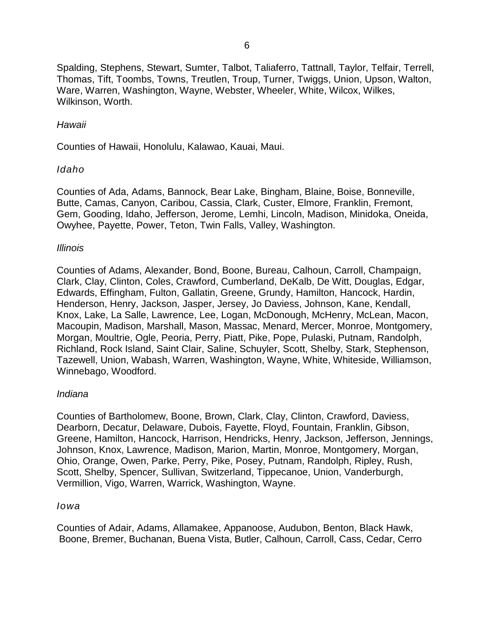Spalding, Stephens, Stewart, Sumter, Talbot, Taliaferro, Tattnall, Taylor, Telfair, Terrell, Thomas, Tift, Toombs, Towns, Treutlen, Troup, Turner, Twiggs, Union, Upson, Walton, Ware, Warren, Washington, Wayne, Webster, Wheeler, White, Wilcox, Wilkes, Wilkinson, Worth.

## Hawaii

Counties of Hawaii, Honolulu, Kalawao, Kauai, Maui.

## Idaho

Counties of Ada, Adams, Bannock, Bear Lake, Bingham, Blaine, Boise, Bonneville, Butte, Camas, Canyon, Caribou, Cassia, Clark, Custer, Elmore, Franklin, Fremont, Gem, Gooding, Idaho, Jefferson, Jerome, Lemhi, Lincoln, Madison, Minidoka, Oneida, Owyhee, Payette, Power, Teton, Twin Falls, Valley, Washington.

#### Illinois

Counties of Adams, Alexander, Bond, Boone, Bureau, Calhoun, Carroll, Champaign, Clark, Clay, Clinton, Coles, Crawford, Cumberland, DeKalb, De Witt, Douglas, Edgar, Edwards, Effingham, Fulton, Gallatin, Greene, Grundy, Hamilton, Hancock, Hardin, Henderson, Henry, Jackson, Jasper, Jersey, Jo Daviess, Johnson, Kane, Kendall, Knox, Lake, La Salle, Lawrence, Lee, Logan, McDonough, McHenry, McLean, Macon, Macoupin, Madison, Marshall, Mason, Massac, Menard, Mercer, Monroe, Montgomery, Morgan, Moultrie, Ogle, Peoria, Perry, Piatt, Pike, Pope, Pulaski, Putnam, Randolph, Richland, Rock Island, Saint Clair, Saline, Schuyler, Scott, Shelby, Stark, Stephenson, Tazewell, Union, Wabash, Warren, Washington, Wayne, White, Whiteside, Williamson, Winnebago, Woodford.

#### Indiana

Counties of Bartholomew, Boone, Brown, Clark, Clay, Clinton, Crawford, Daviess, Dearborn, Decatur, Delaware, Dubois, Fayette, Floyd, Fountain, Franklin, Gibson, Greene, Hamilton, Hancock, Harrison, Hendricks, Henry, Jackson, Jefferson, Jennings, Johnson, Knox, Lawrence, Madison, Marion, Martin, Monroe, Montgomery, Morgan, Ohio, Orange, Owen, Parke, Perry, Pike, Posey, Putnam, Randolph, Ripley, Rush, Scott, Shelby, Spencer, Sullivan, Switzerland, Tippecanoe, Union, Vanderburgh, Vermillion, Vigo, Warren, Warrick, Washington, Wayne.

## Iowa

Boone, Bremer, Buchanan, Buena Vista, Butler, Calhoun, Carroll, Cass, Cedar, Cerro Counties of Adair, Adams, Allamakee, Appanoose, Audubon, Benton, Black Hawk,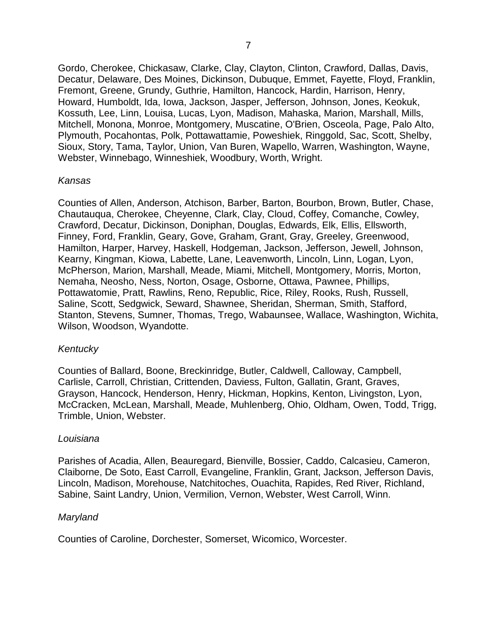Gordo, Cherokee, Chickasaw, Clarke, Clay, Clayton, Clinton, Crawford, Dallas, Davis, Decatur, Delaware, Des Moines, Dickinson, Dubuque, Emmet, Fayette, Floyd, Franklin, Fremont, Greene, Grundy, Guthrie, Hamilton, Hancock, Hardin, Harrison, Henry, Howard, Humboldt, Ida, Iowa, Jackson, Jasper, Jefferson, Johnson, Jones, Keokuk, Kossuth, Lee, Linn, Louisa, Lucas, Lyon, Madison, Mahaska, Marion, Marshall, Mills, Mitchell, Monona, Monroe, Montgomery, Muscatine, O'Brien, Osceola, Page, Palo Alto, Plymouth, Pocahontas, Polk, Pottawattamie, Poweshiek, Ringgold, Sac, Scott, Shelby, Sioux, Story, Tama, Taylor, Union, Van Buren, Wapello, Warren, Washington, Wayne, Webster, Winnebago, Winneshiek, Woodbury, Worth, Wright.

#### Kansas

Counties of Allen, Anderson, Atchison, Barber, Barton, Bourbon, Brown, Butler, Chase, Chautauqua, Cherokee, Cheyenne, Clark, Clay, Cloud, Coffey, Comanche, Cowley, Crawford, Decatur, Dickinson, Doniphan, Douglas, Edwards, Elk, Ellis, Ellsworth, Finney, Ford, Franklin, Geary, Gove, Graham, Grant, Gray, Greeley, Greenwood, Hamilton, Harper, Harvey, Haskell, Hodgeman, Jackson, Jefferson, Jewell, Johnson, Kearny, Kingman, Kiowa, Labette, Lane, Leavenworth, Lincoln, Linn, Logan, Lyon, McPherson, Marion, Marshall, Meade, Miami, Mitchell, Montgomery, Morris, Morton, Nemaha, Neosho, Ness, Norton, Osage, Osborne, Ottawa, Pawnee, Phillips, Pottawatomie, Pratt, Rawlins, Reno, Republic, Rice, Riley, Rooks, Rush, Russell, Saline, Scott, Sedgwick, Seward, Shawnee, Sheridan, Sherman, Smith, Stafford, Stanton, Stevens, Sumner, Thomas, Trego, Wabaunsee, Wallace, Washington, Wichita, Wilson, Woodson, Wyandotte.

#### Kentucky

Counties of Ballard, Boone, Breckinridge, Butler, Caldwell, Calloway, Campbell, Carlisle, Carroll, Christian, Crittenden, Daviess, Fulton, Gallatin, Grant, Graves, Grayson, Hancock, Henderson, Henry, Hickman, Hopkins, Kenton, Livingston, Lyon, McCracken, McLean, Marshall, Meade, Muhlenberg, Ohio, Oldham, Owen, Todd, Trigg, Trimble, Union, Webster.

#### Louisiana

Parishes of Acadia, Allen, Beauregard, Bienville, Bossier, Caddo, Calcasieu, Cameron, Claiborne, De Soto, East Carroll, Evangeline, Franklin, Grant, Jackson, Jefferson Davis, Lincoln, Madison, Morehouse, Natchitoches, Ouachita, Rapides, Red River, Richland, Sabine, Saint Landry, Union, Vermilion, Vernon, Webster, West Carroll, Winn.

#### Maryland

Counties of Caroline, Dorchester, Somerset, Wicomico, Worcester.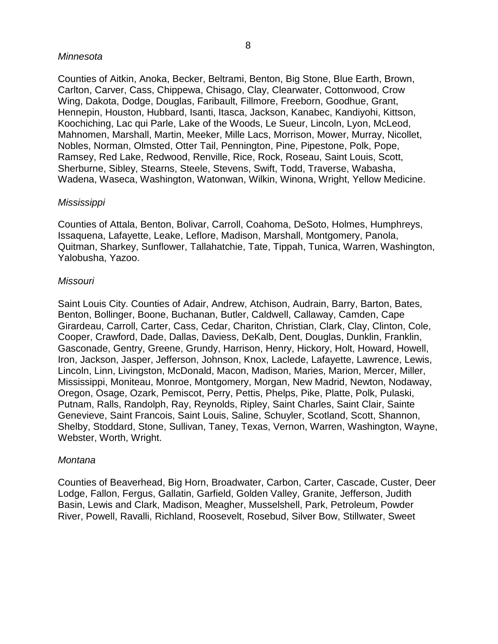#### Minnesota

Counties of Aitkin, Anoka, Becker, Beltrami, Benton, Big Stone, Blue Earth, Brown, Carlton, Carver, Cass, Chippewa, Chisago, Clay, Clearwater, Cottonwood, Crow Wing, Dakota, Dodge, Douglas, Faribault, Fillmore, Freeborn, Goodhue, Grant, Hennepin, Houston, Hubbard, Isanti, Itasca, Jackson, Kanabec, Kandiyohi, Kittson, Koochiching, Lac qui Parle, Lake of the Woods, Le Sueur, Lincoln, Lyon, McLeod, Mahnomen, Marshall, Martin, Meeker, Mille Lacs, Morrison, Mower, Murray, Nicollet, Nobles, Norman, Olmsted, Otter Tail, Pennington, Pine, Pipestone, Polk, Pope, Ramsey, Red Lake, Redwood, Renville, Rice, Rock, Roseau, Saint Louis, Scott, Sherburne, Sibley, Stearns, Steele, Stevens, Swift, Todd, Traverse, Wabasha, Wadena, Waseca, Washington, Watonwan, Wilkin, Winona, Wright, Yellow Medicine.

## Mississippi

Counties of Attala, Benton, Bolivar, Carroll, Coahoma, DeSoto, Holmes, Humphreys, Issaquena, Lafayette, Leake, Leflore, Madison, Marshall, Montgomery, Panola, Quitman, Sharkey, Sunflower, Tallahatchie, Tate, Tippah, Tunica, Warren, Washington, Yalobusha, Yazoo.

## Missouri

Saint Louis City. Counties of Adair, Andrew, Atchison, Audrain, Barry, Barton, Bates, Benton, Bollinger, Boone, Buchanan, Butler, Caldwell, Callaway, Camden, Cape Girardeau, Carroll, Carter, Cass, Cedar, Chariton, Christian, Clark, Clay, Clinton, Cole, Cooper, Crawford, Dade, Dallas, Daviess, DeKalb, Dent, Douglas, Dunklin, Franklin, Gasconade, Gentry, Greene, Grundy, Harrison, Henry, Hickory, Holt, Howard, Howell, Iron, Jackson, Jasper, Jefferson, Johnson, Knox, Laclede, Lafayette, Lawrence, Lewis, Lincoln, Linn, Livingston, McDonald, Macon, Madison, Maries, Marion, Mercer, Miller, Mississippi, Moniteau, Monroe, Montgomery, Morgan, New Madrid, Newton, Nodaway, Oregon, Osage, Ozark, Pemiscot, Perry, Pettis, Phelps, Pike, Platte, Polk, Pulaski, Putnam, Ralls, Randolph, Ray, Reynolds, Ripley, Saint Charles, Saint Clair, Sainte Genevieve, Saint Francois, Saint Louis, Saline, Schuyler, Scotland, Scott, Shannon, Shelby, Stoddard, Stone, Sullivan, Taney, Texas, Vernon, Warren, Washington, Wayne, Webster, Worth, Wright.

#### Montana

Counties of Beaverhead, Big Horn, Broadwater, Carbon, Carter, Cascade, Custer, Deer Lodge, Fallon, Fergus, Gallatin, Garfield, Golden Valley, Granite, Jefferson, Judith Basin, Lewis and Clark, Madison, Meagher, Musselshell, Park, Petroleum, Powder River, Powell, Ravalli, Richland, Roosevelt, Rosebud, Silver Bow, Stillwater, Sweet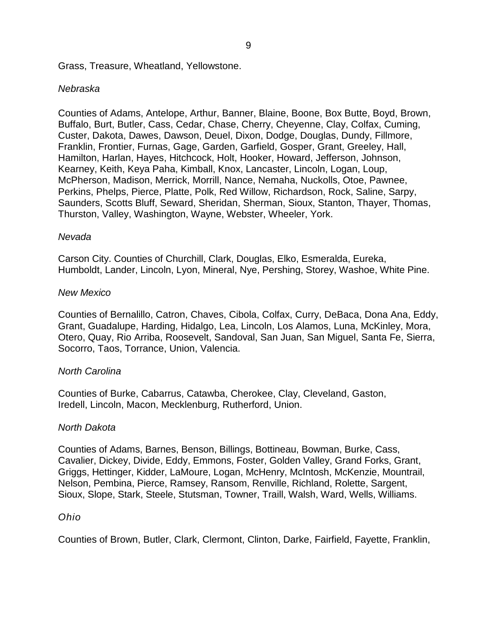Grass, Treasure, Wheatland, Yellowstone.

#### Nebraska

Counties of Adams, Antelope, Arthur, Banner, Blaine, Boone, Box Butte, Boyd, Brown, Buffalo, Burt, Butler, Cass, Cedar, Chase, Cherry, Cheyenne, Clay, Colfax, Cuming, Custer, Dakota, Dawes, Dawson, Deuel, Dixon, Dodge, Douglas, Dundy, Fillmore, Franklin, Frontier, Furnas, Gage, Garden, Garfield, Gosper, Grant, Greeley, Hall, Hamilton, Harlan, Hayes, Hitchcock, Holt, Hooker, Howard, Jefferson, Johnson, Kearney, Keith, Keya Paha, Kimball, Knox, Lancaster, Lincoln, Logan, Loup, McPherson, Madison, Merrick, Morrill, Nance, Nemaha, Nuckolls, Otoe, Pawnee, Perkins, Phelps, Pierce, Platte, Polk, Red Willow, Richardson, Rock, Saline, Sarpy, Saunders, Scotts Bluff, Seward, Sheridan, Sherman, Sioux, Stanton, Thayer, Thomas, Thurston, Valley, Washington, Wayne, Webster, Wheeler, York.

#### Nevada

Carson City. Counties of Churchill, Clark, Douglas, Elko, Esmeralda, Eureka, Humboldt, Lander, Lincoln, Lyon, Mineral, Nye, Pershing, Storey, Washoe, White Pine.

#### New Mexico

Counties of Bernalillo, Catron, Chaves, Cibola, Colfax, Curry, DeBaca, Dona Ana, Eddy, Grant, Guadalupe, Harding, Hidalgo, Lea, Lincoln, Los Alamos, Luna, McKinley, Mora, Otero, Quay, Rio Arriba, Roosevelt, Sandoval, San Juan, San Miguel, Santa Fe, Sierra, Socorro, Taos, Torrance, Union, Valencia.

#### North Carolina

Counties of Burke, Cabarrus, Catawba, Cherokee, Clay, Cleveland, Gaston, Iredell, Lincoln, Macon, Mecklenburg, Rutherford, Union.

#### North Dakota

Counties of Adams, Barnes, Benson, Billings, Bottineau, Bowman, Burke, Cass, Cavalier, Dickey, Divide, Eddy, Emmons, Foster, Golden Valley, Grand Forks, Grant, Griggs, Hettinger, Kidder, LaMoure, Logan, McHenry, McIntosh, McKenzie, Mountrail, Nelson, Pembina, Pierce, Ramsey, Ransom, Renville, Richland, Rolette, Sargent, Sioux, Slope, Stark, Steele, Stutsman, Towner, Traill, Walsh, Ward, Wells, Williams.

#### Ohio

Counties of Brown, Butler, Clark, Clermont, Clinton, Darke, Fairfield, Fayette, Franklin,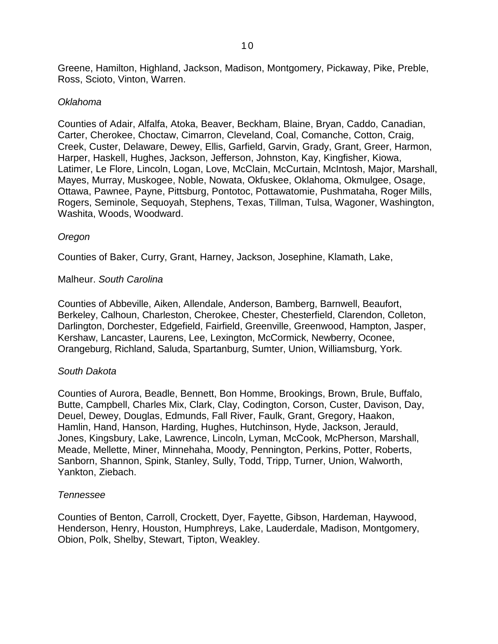Greene, Hamilton, Highland, Jackson, Madison, Montgomery, Pickaway, Pike, Preble, Ross, Scioto, Vinton, Warren.

#### Oklahoma

Counties of Adair, Alfalfa, Atoka, Beaver, Beckham, Blaine, Bryan, Caddo, Canadian, Carter, Cherokee, Choctaw, Cimarron, Cleveland, Coal, Comanche, Cotton, Craig, Creek, Custer, Delaware, Dewey, Ellis, Garfield, Garvin, Grady, Grant, Greer, Harmon, Harper, Haskell, Hughes, Jackson, Jefferson, Johnston, Kay, Kingfisher, Kiowa, Latimer, Le Flore, Lincoln, Logan, Love, McClain, McCurtain, McIntosh, Major, Marshall, Mayes, Murray, Muskogee, Noble, Nowata, Okfuskee, Oklahoma, Okmulgee, Osage, Ottawa, Pawnee, Payne, Pittsburg, Pontotoc, Pottawatomie, Pushmataha, Roger Mills, Rogers, Seminole, Sequoyah, Stephens, Texas, Tillman, Tulsa, Wagoner, Washington, Washita, Woods, Woodward.

## **Oregon**

Counties of Baker, Curry, Grant, Harney, Jackson, Josephine, Klamath, Lake,

## Malheur. South Carolina

Counties of Abbeville, Aiken, Allendale, Anderson, Bamberg, Barnwell, Beaufort, Berkeley, Calhoun, Charleston, Cherokee, Chester, Chesterfield, Clarendon, Colleton, Darlington, Dorchester, Edgefield, Fairfield, Greenville, Greenwood, Hampton, Jasper, Kershaw, Lancaster, Laurens, Lee, Lexington, McCormick, Newberry, Oconee, Orangeburg, Richland, Saluda, Spartanburg, Sumter, Union, Williamsburg, York.

#### South Dakota

Counties of Aurora, Beadle, Bennett, Bon Homme, Brookings, Brown, Brule, Buffalo, Butte, Campbell, Charles Mix, Clark, Clay, Codington, Corson, Custer, Davison, Day, Deuel, Dewey, Douglas, Edmunds, Fall River, Faulk, Grant, Gregory, Haakon, Hamlin, Hand, Hanson, Harding, Hughes, Hutchinson, Hyde, Jackson, Jerauld, Jones, Kingsbury, Lake, Lawrence, Lincoln, Lyman, McCook, McPherson, Marshall, Meade, Mellette, Miner, Minnehaha, Moody, Pennington, Perkins, Potter, Roberts, Sanborn, Shannon, Spink, Stanley, Sully, Todd, Tripp, Turner, Union, Walworth, Yankton, Ziebach.

#### Tennessee

Counties of Benton, Carroll, Crockett, Dyer, Fayette, Gibson, Hardeman, Haywood, Henderson, Henry, Houston, Humphreys, Lake, Lauderdale, Madison, Montgomery, Obion, Polk, Shelby, Stewart, Tipton, Weakley.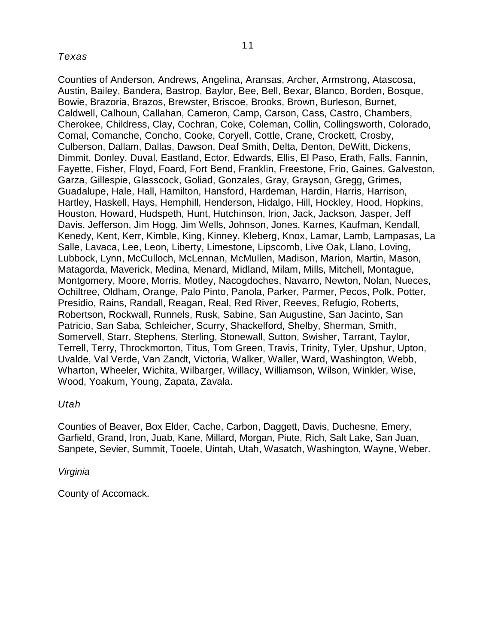## Texas

Counties of Anderson, Andrews, Angelina, Aransas, Archer, Armstrong, Atascosa, Austin, Bailey, Bandera, Bastrop, Baylor, Bee, Bell, Bexar, Blanco, Borden, Bosque, Bowie, Brazoria, Brazos, Brewster, Briscoe, Brooks, Brown, Burleson, Burnet, Caldwell, Calhoun, Callahan, Cameron, Camp, Carson, Cass, Castro, Chambers, Cherokee, Childress, Clay, Cochran, Coke, Coleman, Collin, Collingsworth, Colorado, Comal, Comanche, Concho, Cooke, Coryell, Cottle, Crane, Crockett, Crosby, Culberson, Dallam, Dallas, Dawson, Deaf Smith, Delta, Denton, DeWitt, Dickens, Dimmit, Donley, Duval, Eastland, Ector, Edwards, Ellis, El Paso, Erath, Falls, Fannin, Fayette, Fisher, Floyd, Foard, Fort Bend, Franklin, Freestone, Frio, Gaines, Galveston, Garza, Gillespie, Glasscock, Goliad, Gonzales, Gray, Grayson, Gregg, Grimes, Guadalupe, Hale, Hall, Hamilton, Hansford, Hardeman, Hardin, Harris, Harrison, Hartley, Haskell, Hays, Hemphill, Henderson, Hidalgo, Hill, Hockley, Hood, Hopkins, Houston, Howard, Hudspeth, Hunt, Hutchinson, Irion, Jack, Jackson, Jasper, Jeff Davis, Jefferson, Jim Hogg, Jim Wells, Johnson, Jones, Karnes, Kaufman, Kendall, Kenedy, Kent, Kerr, Kimble, King, Kinney, Kleberg, Knox, Lamar, Lamb, Lampasas, La Salle, Lavaca, Lee, Leon, Liberty, Limestone, Lipscomb, Live Oak, Llano, Loving, Lubbock, Lynn, McCulloch, McLennan, McMullen, Madison, Marion, Martin, Mason, Matagorda, Maverick, Medina, Menard, Midland, Milam, Mills, Mitchell, Montague, Montgomery, Moore, Morris, Motley, Nacogdoches, Navarro, Newton, Nolan, Nueces, Ochiltree, Oldham, Orange, Palo Pinto, Panola, Parker, Parmer, Pecos, Polk, Potter, Presidio, Rains, Randall, Reagan, Real, Red River, Reeves, Refugio, Roberts, Robertson, Rockwall, Runnels, Rusk, Sabine, San Augustine, San Jacinto, San Patricio, San Saba, Schleicher, Scurry, Shackelford, Shelby, Sherman, Smith, Somervell, Starr, Stephens, Sterling, Stonewall, Sutton, Swisher, Tarrant, Taylor, Terrell, Terry, Throckmorton, Titus, Tom Green, Travis, Trinity, Tyler, Upshur, Upton, Uvalde, Val Verde, Van Zandt, Victoria, Walker, Waller, Ward, Washington, Webb, Wharton, Wheeler, Wichita, Wilbarger, Willacy, Williamson, Wilson, Winkler, Wise, Wood, Yoakum, Young, Zapata, Zavala.

## Utah

Counties of Beaver, Box Elder, Cache, Carbon, Daggett, Davis, Duchesne, Emery, Garfield, Grand, Iron, Juab, Kane, Millard, Morgan, Piute, Rich, Salt Lake, San Juan, Sanpete, Sevier, Summit, Tooele, Uintah, Utah, Wasatch, Washington, Wayne, Weber.

#### Virginia

County of Accomack.